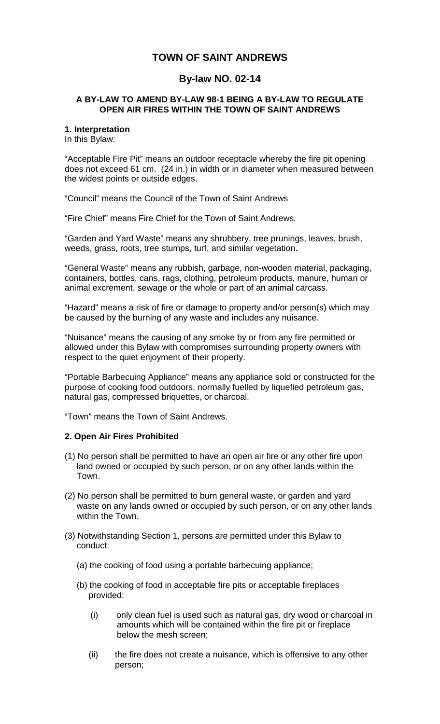# **TOWN OF SAINT ANDREWS**

# **By-law NO. 02-14**

### **A BY-LAW TO AMEND BY-LAW 98-1 BEING A BY-LAW TO REGULATE OPEN AIR FIRES WITHIN THE TOWN OF SAINT ANDREWS**

#### **1. Interpretation**

In this Bylaw:

"Acceptable Fire Pit" means an outdoor receptacle whereby the fire pit opening does not exceed 61 cm. (24 in.) in width or in diameter when measured between the widest points or outside edges.

"Council" means the Council of the Town of Saint Andrews

"Fire Chief" means Fire Chief for the Town of Saint Andrews.

"Garden and Yard Waste" means any shrubbery, tree prunings, leaves, brush, weeds, grass, roots, tree stumps, turf, and similar vegetation.

"General Waste" means any rubbish, garbage, non-wooden material, packaging, containers, bottles, cans, rags, clothing, petroleum products, manure, human or animal excrement, sewage or the whole or part of an animal carcass.

"Hazard" means a risk of fire or damage to property and/or person(s) which may be caused by the burning of any waste and includes any nuisance.

"Nuisance" means the causing of any smoke by or from any fire permitted or allowed under this Bylaw with compromises surrounding property owners with respect to the quiet enjoyment of their property.

"Portable Barbecuing Appliance" means any appliance sold or constructed for the purpose of cooking food outdoors, normally fuelled by liquefied petroleum gas, natural gas, compressed briquettes, or charcoal.

"Town" means the Town of Saint Andrews.

#### **2. Open Air Fires Prohibited**

- (1) No person shall be permitted to have an open air fire or any other fire upon land owned or occupied by such person, or on any other lands within the Town.
- (2) No person shall be permitted to burn general waste, or garden and yard waste on any lands owned or occupied by such person, or on any other lands within the Town.
- (3) Notwithstanding Section 1, persons are permitted under this Bylaw to conduct:
	- (a) the cooking of food using a portable barbecuing appliance;
	- (b) the cooking of food in acceptable fire pits or acceptable fireplaces provided:
		- (i) only clean fuel is used such as natural gas, dry wood or charcoal in amounts which will be contained within the fire pit or fireplace below the mesh screen;
		- (ii) the fire does not create a nuisance, which is offensive to any other person;